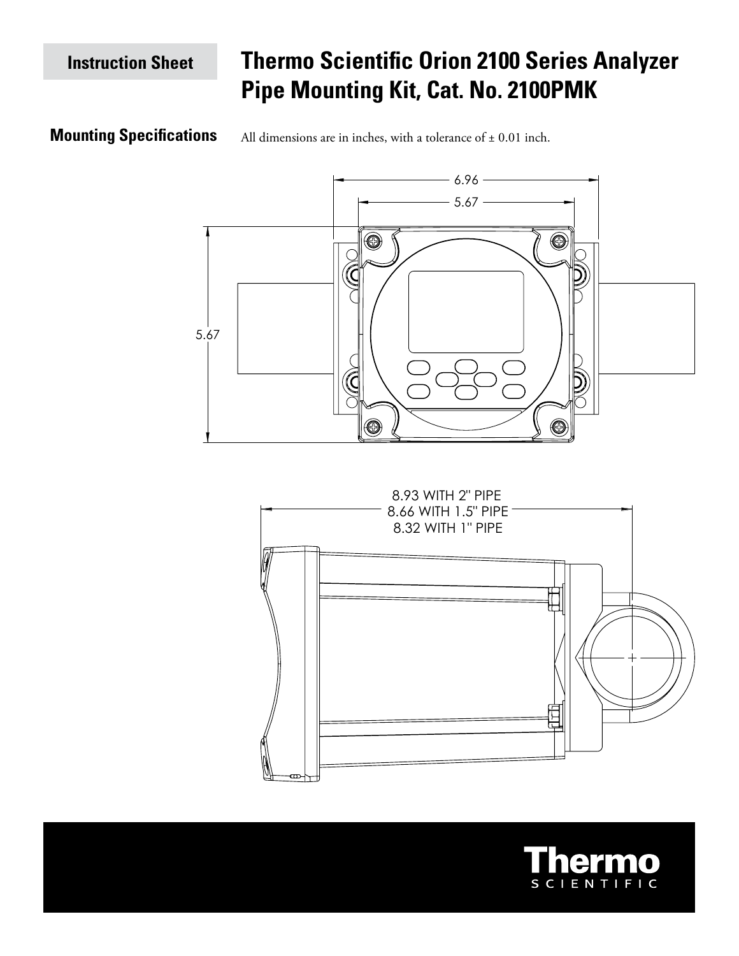# **Thermo Scientific Orion 2100 Series Analyzer Pipe Mounting Kit, Cat. No. 2100PMK**

## **Mounting Specifications**

All dimensions are in inches, with a tolerance of  $\pm$  0.01 inch.